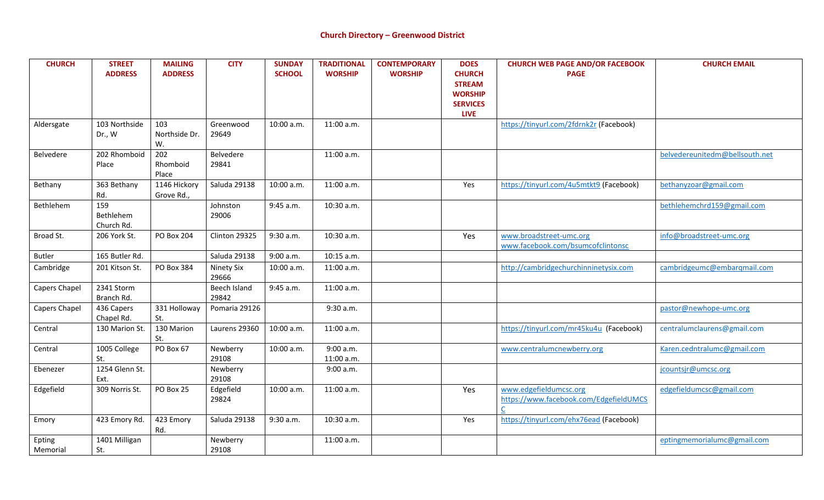| <b>CHURCH</b>      | <b>STREET</b><br><b>ADDRESS</b> | <b>MAILING</b><br><b>ADDRESS</b> | <b>CITY</b>           | <b>SUNDAY</b><br><b>SCHOOL</b> | <b>TRADITIONAL</b><br><b>WORSHIP</b> | <b>CONTEMPORARY</b><br><b>WORSHIP</b> | <b>DOES</b><br><b>CHURCH</b><br><b>STREAM</b><br><b>WORSHIP</b><br><b>SERVICES</b><br><b>LIVE</b> | <b>CHURCH WEB PAGE AND/OR FACEBOOK</b><br><b>PAGE</b>            | <b>CHURCH EMAIL</b>            |
|--------------------|---------------------------------|----------------------------------|-----------------------|--------------------------------|--------------------------------------|---------------------------------------|---------------------------------------------------------------------------------------------------|------------------------------------------------------------------|--------------------------------|
| Aldersgate         | 103 Northside<br>Dr., W         | 103<br>Northside Dr.<br>W.       | Greenwood<br>29649    | 10:00 a.m.                     | 11:00 a.m.                           |                                       |                                                                                                   | https://tinyurl.com/2fdrnk2r (Facebook)                          |                                |
| Belvedere          | 202 Rhomboid<br>Place           | 202<br>Rhomboid<br>Place         | Belvedere<br>29841    |                                | 11:00 a.m.                           |                                       |                                                                                                   |                                                                  | belvedereunitedm@bellsouth.net |
| Bethany            | 363 Bethany<br>Rd.              | 1146 Hickory<br>Grove Rd.,       | Saluda 29138          | 10:00 a.m.                     | 11:00 a.m.                           |                                       | Yes                                                                                               | https://tinyurl.com/4u5mtkt9 (Facebook)                          | bethanyzoar@gmail.com          |
| Bethlehem          | 159<br>Bethlehem<br>Church Rd.  |                                  | Johnston<br>29006     | 9:45 a.m.                      | 10:30 a.m.                           |                                       |                                                                                                   |                                                                  | bethlehemchrd159@gmail.com     |
| Broad St.          | 206 York St.                    | <b>PO Box 204</b>                | Clinton 29325         | 9:30 a.m.                      | 10:30 a.m.                           |                                       | Yes                                                                                               | www.broadstreet-umc.org<br>www.facebook.com/bsumcofclintonsc     | info@broadstreet-umc.org       |
| <b>Butler</b>      | 165 Butler Rd.                  |                                  | Saluda 29138          | 9:00 a.m.                      | 10:15 a.m.                           |                                       |                                                                                                   |                                                                  |                                |
| Cambridge          | 201 Kitson St.                  | PO Box 384                       | Ninety Six<br>29666   | 10:00 a.m.                     | 11:00 a.m.                           |                                       |                                                                                                   | http://cambridgechurchinninetysix.com                            | cambridgeumc@embargmail.com    |
| Capers Chapel      | 2341 Storm<br>Branch Rd.        |                                  | Beech Island<br>29842 | 9:45 a.m.                      | 11:00 a.m.                           |                                       |                                                                                                   |                                                                  |                                |
| Capers Chapel      | 436 Capers<br>Chapel Rd.        | 331 Holloway<br>St.              | Pomaria 29126         |                                | 9:30 a.m.                            |                                       |                                                                                                   |                                                                  | pastor@newhope-umc.org         |
| Central            | 130 Marion St.                  | 130 Marion<br>St.                | Laurens 29360         | 10:00 a.m.                     | 11:00 a.m.                           |                                       |                                                                                                   | https://tinyurl.com/mr45ku4u (Facebook)                          | centralumclaurens@gmail.com    |
| Central            | 1005 College<br>St.             | PO Box 67                        | Newberry<br>29108     | 10:00 a.m.                     | 9:00 a.m.<br>11:00 a.m.              |                                       |                                                                                                   | www.centralumcnewberry.org                                       | Karen.cedntralumc@gmail.com    |
| Ebenezer           | 1254 Glenn St.<br>Ext.          |                                  | Newberry<br>29108     |                                | 9:00 a.m.                            |                                       |                                                                                                   |                                                                  | jcountsjr@umcsc.org            |
| Edgefield          | 309 Norris St.                  | PO Box 25                        | Edgefield<br>29824    | 10:00 a.m.                     | 11:00 a.m.                           |                                       | Yes                                                                                               | www.edgefieldumcsc.org<br>https://www.facebook.com/EdgefieldUMCS | edgefieldumcsc@gmail.com       |
| Emory              | 423 Emory Rd.                   | 423 Emory<br>Rd.                 | Saluda 29138          | 9:30 a.m.                      | 10:30 a.m.                           |                                       | Yes                                                                                               | https://tinyurl.com/ehx76ead (Facebook)                          |                                |
| Epting<br>Memorial | 1401 Milligan<br>St.            |                                  | Newberry<br>29108     |                                | 11:00 a.m.                           |                                       |                                                                                                   |                                                                  | eptingmemorialumc@gmail.com    |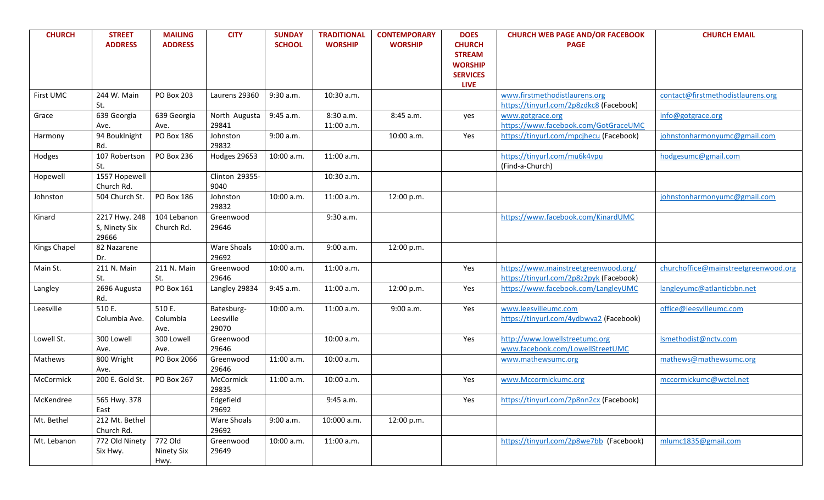| <b>CHURCH</b> | <b>STREET</b><br><b>ADDRESS</b>         | <b>MAILING</b><br><b>ADDRESS</b> | <b>CITY</b>                      | <b>SUNDAY</b><br><b>SCHOOL</b> | <b>TRADITIONAL</b><br><b>WORSHIP</b> | <b>CONTEMPORARY</b><br><b>WORSHIP</b> | <b>DOES</b><br><b>CHURCH</b><br><b>STREAM</b><br><b>WORSHIP</b> | <b>CHURCH WEB PAGE AND/OR FACEBOOK</b><br><b>PAGE</b>                           | <b>CHURCH EMAIL</b>                  |
|---------------|-----------------------------------------|----------------------------------|----------------------------------|--------------------------------|--------------------------------------|---------------------------------------|-----------------------------------------------------------------|---------------------------------------------------------------------------------|--------------------------------------|
|               |                                         |                                  |                                  |                                |                                      |                                       | <b>SERVICES</b><br><b>LIVE</b>                                  |                                                                                 |                                      |
| First UMC     | 244 W. Main<br>St.                      | PO Box 203                       | Laurens 29360                    | 9:30 a.m.                      | 10:30 a.m.                           |                                       |                                                                 | www.firstmethodistlaurens.org<br>https://tinyurl.com/2p8zdkc8 (Facebook)        | contact@firstmethodistlaurens.org    |
| Grace         | 639 Georgia<br>Ave.                     | 639 Georgia<br>Ave.              | North Augusta<br>29841           | 9:45 a.m.                      | 8:30 a.m.<br>11:00 a.m.              | 8:45 a.m.                             | yes                                                             | www.gotgrace.org<br>https://www.facebook.com/GotGraceUMC                        | info@gotgrace.org                    |
| Harmony       | 94 Bouklnight<br>Rd.                    | <b>PO Box 186</b>                | Johnston<br>29832                | 9:00 a.m.                      |                                      | 10:00 a.m.                            | Yes                                                             | https://tinyurl.com/mpcjhecu (Facebook)                                         | johnstonharmonyumc@gmail.com         |
| Hodges        | 107 Robertson<br>St.                    | PO Box 236                       | Hodges 29653                     | 10:00 a.m.                     | 11:00 a.m.                           |                                       |                                                                 | https://tinyurl.com/mu6k4vpu<br>(Find-a-Church)                                 | hodgesumc@gmail.com                  |
| Hopewell      | 1557 Hopewell<br>Church Rd.             |                                  | Clinton 29355-<br>9040           |                                | 10:30 a.m.                           |                                       |                                                                 |                                                                                 |                                      |
| Johnston      | 504 Church St.                          | <b>PO Box 186</b>                | Johnston<br>29832                | 10:00 a.m.                     | 11:00 a.m.                           | 12:00 p.m.                            |                                                                 |                                                                                 | johnstonharmonyumc@gmail.com         |
| Kinard        | 2217 Hwy. 248<br>S, Ninety Six<br>29666 | 104 Lebanon<br>Church Rd.        | Greenwood<br>29646               |                                | 9:30 a.m.                            |                                       |                                                                 | https://www.facebook.com/KinardUMC                                              |                                      |
| Kings Chapel  | 82 Nazarene<br>Dr.                      |                                  | Ware Shoals<br>29692             | 10:00 a.m.                     | 9:00 a.m.                            | 12:00 p.m.                            |                                                                 |                                                                                 |                                      |
| Main St.      | 211 N. Main<br>St.                      | 211 N. Main<br>St.               | Greenwood<br>29646               | 10:00 a.m.                     | 11:00 a.m.                           |                                       | Yes                                                             | https://www.mainstreetgreenwood.org/<br>https://tinyurl.com/2p8z2pyk (Facebook) | churchoffice@mainstreetgreenwood.org |
| Langley       | 2696 Augusta<br>Rd.                     | PO Box 161                       | Langley 29834                    | 9:45 a.m.                      | 11:00 a.m.                           | 12:00 p.m.                            | Yes                                                             | https://www.facebook.com/LangleyUMC                                             | langleyumc@atlanticbbn.net           |
| Leesville     | 510 E.<br>Columbia Ave.                 | 510 E.<br>Columbia<br>Ave.       | Batesburg-<br>Leesville<br>29070 | 10:00 a.m.                     | 11:00 a.m.                           | 9:00 a.m.                             | Yes                                                             | www.leesvilleumc.com<br>https://tinyurl.com/4ydbwva2 (Facebook)                 | office@leesvilleumc.com              |
| Lowell St.    | 300 Lowell<br>Ave.                      | 300 Lowell<br>Ave.               | Greenwood<br>29646               |                                | 10:00 a.m.                           |                                       | Yes                                                             | http://www.lowellstreetumc.org<br>www.facebook.com/LowellStreetUMC              | Ismethodist@nctv.com                 |
| Mathews       | 800 Wright<br>Ave.                      | PO Box 2066                      | Greenwood<br>29646               | 11:00 a.m.                     | 10:00 a.m.                           |                                       |                                                                 | www.mathewsumc.org                                                              | mathews@mathewsumc.org               |
| McCormick     | 200 E. Gold St.                         | <b>PO Box 267</b>                | McCormick<br>29835               | 11:00 a.m.                     | 10:00 a.m.                           |                                       | Yes                                                             | www.Mccormickumc.org                                                            | mccormickumc@wctel.net               |
| McKendree     | 565 Hwy. 378<br>East                    |                                  | Edgefield<br>29692               |                                | 9:45 a.m.                            |                                       | Yes                                                             | https://tinyurl.com/2p8nn2cx (Facebook)                                         |                                      |
| Mt. Bethel    | 212 Mt. Bethel<br>Church Rd.            |                                  | Ware Shoals<br>29692             | 9:00 a.m.                      | 10:000 a.m.                          | 12:00 p.m.                            |                                                                 |                                                                                 |                                      |
| Mt. Lebanon   | 772 Old Ninety<br>Six Hwy.              | 772 Old<br>Ninety Six<br>Hwy.    | Greenwood<br>29649               | 10:00 a.m.                     | 11:00 a.m.                           |                                       |                                                                 | https://tinyurl.com/2p8we7bb (Facebook)                                         | mlumc1835@gmail.com                  |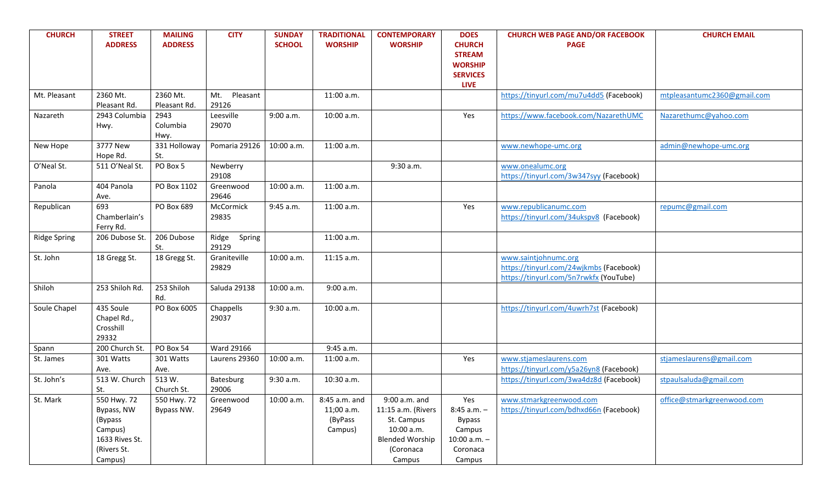| <b>CHURCH</b>       | <b>STREET</b><br><b>ADDRESS</b> | <b>MAILING</b><br><b>ADDRESS</b> | <b>CITY</b>        | <b>SUNDAY</b><br><b>SCHOOL</b> | <b>TRADITIONAL</b><br><b>WORSHIP</b> | <b>CONTEMPORARY</b><br><b>WORSHIP</b> | <b>DOES</b><br><b>CHURCH</b>    | <b>CHURCH WEB PAGE AND/OR FACEBOOK</b><br><b>PAGE</b> | <b>CHURCH EMAIL</b>         |
|---------------------|---------------------------------|----------------------------------|--------------------|--------------------------------|--------------------------------------|---------------------------------------|---------------------------------|-------------------------------------------------------|-----------------------------|
|                     |                                 |                                  |                    |                                |                                      |                                       | <b>STREAM</b><br><b>WORSHIP</b> |                                                       |                             |
|                     |                                 |                                  |                    |                                |                                      |                                       | <b>SERVICES</b>                 |                                                       |                             |
| Mt. Pleasant        | 2360 Mt.                        | 2360 Mt.                         | Pleasant<br>Mt.    |                                | 11:00 a.m.                           |                                       | <b>LIVE</b>                     |                                                       |                             |
|                     | Pleasant Rd.                    | Pleasant Rd.                     | 29126              |                                |                                      |                                       |                                 | https://tinyurl.com/mu7u4dd5 (Facebook)               | mtpleasantumc2360@gmail.com |
| Nazareth            | 2943 Columbia                   | 2943                             | Leesville          | 9:00 a.m.                      | 10:00 a.m.                           |                                       | Yes                             | https://www.facebook.com/NazarethUMC                  | Nazarethumc@yahoo.com       |
|                     | Hwy.                            | Columbia                         | 29070              |                                |                                      |                                       |                                 |                                                       |                             |
|                     |                                 | Hwy.                             |                    |                                |                                      |                                       |                                 |                                                       |                             |
| New Hope            | 3777 New<br>Hope Rd.            | 331 Holloway<br>St.              | Pomaria 29126      | 10:00 a.m.                     | 11:00 a.m.                           |                                       |                                 | www.newhope-umc.org                                   | admin@newhope-umc.org       |
| O'Neal St.          | 511 O'Neal St.                  | PO Box 5                         | Newberry           |                                |                                      | 9:30 a.m.                             |                                 | www.onealumc.org                                      |                             |
|                     |                                 |                                  | 29108              |                                |                                      |                                       |                                 | https://tinyurl.com/3w347syy (Facebook)               |                             |
| Panola              | 404 Panola                      | PO Box 1102                      | Greenwood          | 10:00 a.m.                     | 11:00 a.m.                           |                                       |                                 |                                                       |                             |
|                     | Ave.<br>693                     | PO Box 689                       | 29646<br>McCormick |                                |                                      |                                       |                                 | www.republicanumc.com                                 |                             |
| Republican          | Chamberlain's                   |                                  | 29835              | 9:45 a.m.                      | 11:00 a.m.                           |                                       | Yes                             | https://tinyurl.com/34ukspv8 (Facebook)               | repumc@gmail.com            |
|                     | Ferry Rd.                       |                                  |                    |                                |                                      |                                       |                                 |                                                       |                             |
| <b>Ridge Spring</b> | 206 Dubose St.                  | 206 Dubose                       | Ridge<br>Spring    |                                | 11:00 a.m.                           |                                       |                                 |                                                       |                             |
|                     |                                 | St.                              | 29129              |                                |                                      |                                       |                                 |                                                       |                             |
| St. John            | 18 Gregg St.                    | 18 Gregg St.                     | Graniteville       | 10:00 a.m.                     | 11:15 a.m.                           |                                       |                                 | www.saintjohnumc.org                                  |                             |
|                     |                                 |                                  | 29829              |                                |                                      |                                       |                                 | https://tinyurl.com/24wjkmbs (Facebook)               |                             |
|                     |                                 |                                  |                    |                                |                                      |                                       |                                 | https://tinyurl.com/5n7rwkfx (YouTube)                |                             |
| Shiloh              | 253 Shiloh Rd.                  | 253 Shiloh<br>Rd.                | Saluda 29138       | 10:00 a.m.                     | 9:00 a.m.                            |                                       |                                 |                                                       |                             |
| Soule Chapel        | 435 Soule                       | PO Box 6005                      | Chappells          | 9:30 a.m.                      | 10:00 a.m.                           |                                       |                                 | https://tinyurl.com/4uwrh7st (Facebook)               |                             |
|                     | Chapel Rd.,                     |                                  | 29037              |                                |                                      |                                       |                                 |                                                       |                             |
|                     | Crosshill<br>29332              |                                  |                    |                                |                                      |                                       |                                 |                                                       |                             |
| Spann               | 200 Church St.                  | PO Box 54                        | <b>Ward 29166</b>  |                                | 9:45 a.m.                            |                                       |                                 |                                                       |                             |
| St. James           | 301 Watts                       | 301 Watts                        | Laurens 29360      | 10:00 a.m.                     | 11:00 a.m.                           |                                       | Yes                             | www.stjameslaurens.com                                | stjameslaurens@gmail.com    |
|                     | Ave.                            | Ave.                             |                    |                                |                                      |                                       |                                 | https://tinyurl.com/y5a26yn8 (Facebook)               |                             |
| St. John's          | 513 W. Church                   | 513 W.                           | Batesburg          | 9:30 a.m.                      | 10:30 a.m.                           |                                       |                                 | https://tinyurl.com/3wa4dz8d (Facebook)               | stpaulsaluda@gmail.com      |
|                     | St.                             | Church St.                       | 29006              |                                |                                      |                                       |                                 |                                                       |                             |
| St. Mark            | 550 Hwy. 72                     | 550 Hwy. 72                      | Greenwood          | 10:00 a.m.                     | 8:45 a.m. and                        | 9:00 a.m. and                         | Yes                             | www.stmarkgreenwood.com                               | office@stmarkgreenwood.com  |
|                     | Bypass, NW                      | Bypass NW.                       | 29649              |                                | 11;00 a.m.                           | 11:15 a.m. (Rivers                    | $8:45$ a.m. $-$                 | https://tinyurl.com/bdhxd66n (Facebook)               |                             |
|                     | (Bypass<br>Campus)              |                                  |                    |                                | (ByPass<br>Campus)                   | St. Campus<br>10:00 a.m.              | <b>Bypass</b><br>Campus         |                                                       |                             |
|                     | 1633 Rives St.                  |                                  |                    |                                |                                      | <b>Blended Worship</b>                | $10:00$ a.m. $-$                |                                                       |                             |
|                     | (Rivers St.                     |                                  |                    |                                |                                      | (Coronaca                             | Coronaca                        |                                                       |                             |
|                     | Campus)                         |                                  |                    |                                |                                      | Campus                                | Campus                          |                                                       |                             |